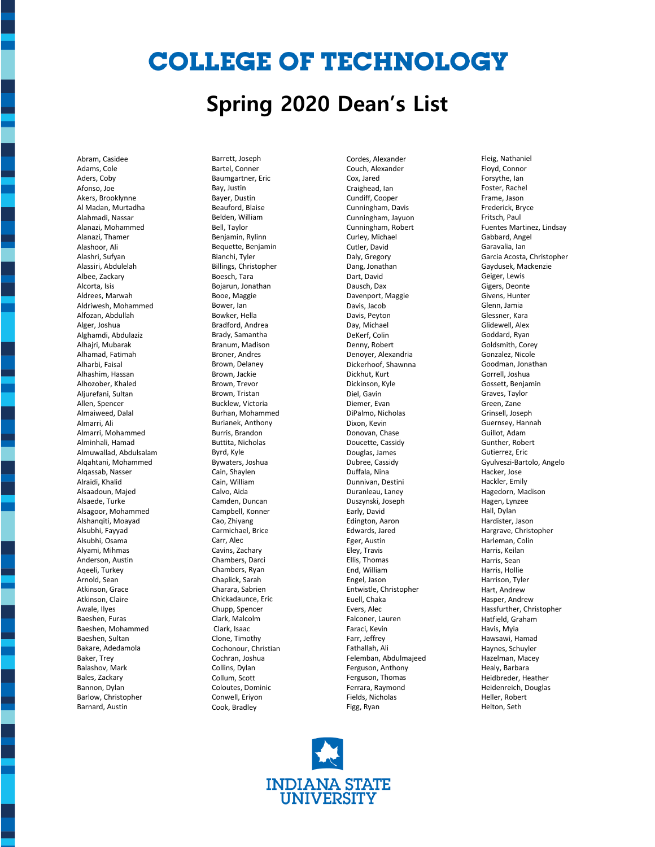## **COLLEGE OF TECHNOLOGY**

### **Spring 2020 Dean's List**

Abram, Casidee Adams, Cole Aders, Coby Afonso, Joe Akers, Brooklynne Al Madan, Murtadha Alahmadi, Nassar Alanazi, Mohammed Alanazi, Thamer Alashoor, Ali Alashri, Sufyan Alassiri, Abdulelah Albee, Zackary Alcorta, Isis Aldrees, Marwah Aldriwesh, Mohammed Alfozan, Abdullah Alger, Joshua Alghamdi, Abdulaziz Alhajri, Mubarak Alhamad, Fatimah Alharbi, Faisal Alhashim, Hassan Alhozober, Khaled Aljurefani, Sultan Allen, Spencer Almaiweed, Dalal Almarri, Ali Almarri, Mohammed Alminhali, Hamad Almuwallad, Abdulsalam Alqahtani, Mohammed Alqassab, Nasser Alraidi, Khalid Alsaadoun, Majed Alsaede, Turke Alsagoor, Mohammed Alshanqiti, Moayad Alsubhi, Fayyad Alsubhi, Osama Alyami, Mihmas Anderson, Austin Aqeeli, Turkey Arnold, Sean Atkinson, Grace Atkinson, Claire Awale, Ilyes Baeshen, Furas Baeshen, Mohammed Baeshen, Sultan Bakare, Adedamola Baker, Trey Balashov, Mark Bales, Zackary Bannon, Dylan Barlow, Christopher Barnard, Austin

Barrett, Joseph Bartel, Conner Baumgartner, Eric Bay, Justin Bayer, Dustin Beauford, Blaise Belden, William Bell, Taylor Benjamin, Rylinn Bequette, Benjamin Bianchi, Tyler Billings, Christopher Boesch, Tara Bojarun, Jonathan Booe, Maggie Bower, Ian Bowker, Hella Bradford, Andrea Brady, Samantha Branum, Madison Broner, Andres Brown, Delaney Brown, Jackie Brown, Trevor Brown, Tristan Bucklew, Victoria Burhan, Mohammed Burianek, Anthony Burris, Brandon Buttita, Nicholas Byrd, Kyle Bywaters, Joshua Cain, Shaylen Cain, William Calvo, Aida Camden, Duncan Campbell, Konner Cao, Zhiyang Carmichael, Brice Carr, Alec Cavins, Zachary Chambers, Darci Chambers, Ryan Chaplick, Sarah Charara, Sabrien Chickadaunce, Eric Chupp, Spencer Clark, Malcolm Clark, Isaac Clone, Timothy Cochonour, Christian Cochran, Joshua Collins, Dylan Collum, Scott Coloutes, Dominic Conwell, Eriyon Cook, Bradley

Cordes, Alexander Couch, Alexander Cox, Jared Craighead, Ian Cundiff, Cooper Cunningham, Davis Cunningham, Jayuon Cunningham, Robert Curley, Michael Cutler, David Daly, Gregory Dang, Jonathan Dart, David Dausch, Dax Davenport, Maggie Davis, Jacob Davis, Peyton Day, Michael DeKerf, Colin Denny, Robert Denoyer, Alexandria Dickerhoof, Shawnna Dickhut, Kurt Dickinson, Kyle Diel, Gavin Diemer, Evan DiPalmo, Nicholas Dixon, Kevin Donovan, Chase Doucette, Cassidy Douglas, James Dubree, Cassidy Duffala, Nina Dunnivan, Destini Duranleau, Laney Duszynski, Joseph Early, David Edington, Aaron Edwards, Jared Eger, Austin Eley, Travis Ellis, Thomas End, William Engel, Jason Entwistle, Christopher Euell, Chaka Evers, Alec Falconer, Lauren Faraci, Kevin Farr, Jeffrey Fathallah, Ali Felemban, Abdulmajeed Ferguson, Anthony Ferguson, Thomas Ferrara, Raymond Fields, Nicholas Figg, Ryan

Fleig, Nathaniel Floyd, Connor Forsythe, Ian Foster, Rachel Frame, Jason Frederick, Bryce Fritsch, Paul Fuentes Martinez, Lindsay Gabbard, Angel Garavalia, Ian Garcia Acosta, Christopher Gaydusek, Mackenzie Geiger, Lewis Gigers, Deonte Givens, Hunter Glenn, Jamia Glessner, Kara Glidewell, Alex Goddard, Ryan Goldsmith, Corey Gonzalez, Nicole Goodman, Jonathan Gorrell, Joshua Gossett, Benjamin Graves, Taylor Green, Zane Grinsell, Joseph Guernsey, Hannah Guillot, Adam Gunther, Robert Gutierrez, Eric Gyulveszi-Bartolo, Angelo Hacker, Jose Hackler, Emily Hagedorn, Madison Hagen, Lynzee Hall, Dylan Hardister, Jason Hargrave, Christopher Harleman, Colin Harris, Keilan Harris, Sean Harris, Hollie Harrison, Tyler Hart, Andrew Hasper, Andrew Hassfurther, Christopher Hatfield, Graham Havis, Myia Hawsawi, Hamad Haynes, Schuyler Hazelman, Macey Healy, Barbara Heidbreder, Heather Heidenreich, Douglas Heller, Robert

Helton, Seth

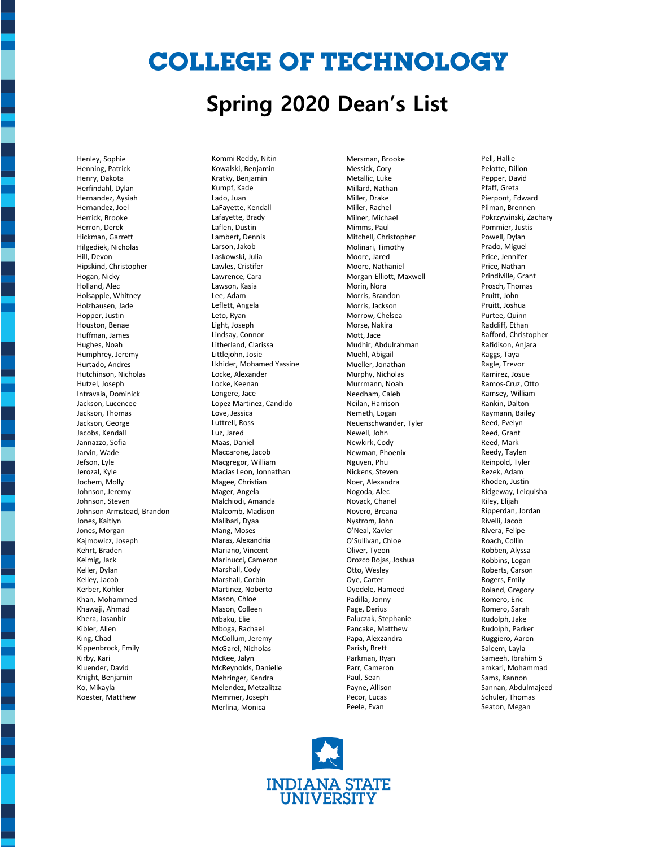# **COLLEGE OF TECHNOLOGY**

#### **Spring 2020 Dean's List**

Henley, Sophie Henning, Patrick Henry, Dakota Herfindahl, Dylan Hernandez, Aysiah Hernandez, Joel Herrick, Brooke Herron, Derek Hickman, Garrett Hilgediek, Nicholas Hill, Devon Hipskind, Christopher Hogan, Nicky Holland, Alec Holsapple, Whitney Holzhausen, Jade Hopper, Justin Houston, Benae Huffman, James Hughes, Noah Humphrey, Jeremy Hurtado, Andres Hutchinson, Nicholas Hutzel, Joseph Intravaia, Dominick Jackson, Lucencee Jackson, Thomas Jackson, George Jacobs, Kendall Jannazzo, Sofia Jarvin, Wade Jefson, Lyle Jerozal, Kyle Jochem, Molly Johnson, Jeremy Johnson, Steven Johnson-Armstead, Brandon Jones, Kaitlyn Jones, Morgan Kajmowicz, Joseph Kehrt, Braden Keimig, Jack Keller, Dylan Kelley, Jacob Kerber, Kohler Khan, Mohammed Khawaji, Ahmad Khera, Jasanbir Kibler, Allen King, Chad Kippenbrock, Emily Kirby, Kari Kluender, David Knight, Benjamin Ko, Mikayla Koester, Matthew

Kommi Reddy, Nitin Kowalski, Benjamin Kratky, Benjamin Kumpf, Kade Lado, Juan LaFayette, Kendall Lafayette, Brady Laflen, Dustin Lambert, Dennis Larson, Jakob Laskowski, Julia Lawles, Cristifer Lawrence, Cara Lawson, Kasia Lee, Adam Leflett, Angela Leto, Ryan Light, Joseph Lindsay, Connor Litherland, Clarissa Littlejohn, Josie Lkhider, Mohamed Yassine Locke, Alexander Locke, Keenan Longere, Jace Lopez Martinez, Candido Love, Jessica Luttrell, Ross Luz, Jared Maas, Daniel Maccarone, Jacob Macgregor, William Macias Leon, Jonnathan Magee, Christian Mager, Angela Malchiodi, Amanda Malcomb, Madison Malibari, Dyaa Mang, Moses Maras, Alexandria Mariano, Vincent Marinucci, Cameron Marshall, Cody Marshall, Corbin Martinez, Noberto Mason, Chloe Mason, Colleen Mbaku, Elie Mboga, Rachael McCollum, Jeremy McGarel, Nicholas McKee, Jalyn McReynolds, Danielle Mehringer, Kendra Melendez, Metzalitza Memmer, Joseph Merlina, Monica

Mersman, Brooke Messick, Cory Metallic, Luke Millard, Nathan Miller, Drake Miller, Rachel Milner, Michael Mimms, Paul Mitchell, Christopher Molinari, Timothy Moore, Jared Moore, Nathaniel Morgan-Elliott, Maxwell Morin, Nora Morris, Brandon Morris, Jackson Morrow, Chelsea Morse, Nakira Mott, Jace Mudhir, Abdulrahman Muehl, Abigail Mueller, Jonathan Murphy, Nicholas Murrmann, Noah Needham, Caleb Neilan, Harrison Nemeth, Logan Neuenschwander, Tyler Newell, John Newkirk, Cody Newman, Phoenix Nguyen, Phu Nickens, Steven Noer, Alexandra Nogoda, Alec Novack, Chanel Novero, Breana Nystrom, John O'Neal, Xavier O'Sullivan, Chloe Oliver, Tyeon Orozco Rojas, Joshua Otto, Wesley Oye, Carter Oyedele, Hameed Padilla, Jonny Page, Derius Paluczak, Stephanie Pancake, Matthew Papa, Alexzandra Parish, Brett Parkman, Ryan Parr, Cameron Paul, Sean Payne, Allison Pecor, Lucas Peele, Evan

Pell, Hallie Pelotte, Dillon Pepper, David Pfaff, Greta Pierpont, Edward Pilman, Brennen Pokrzywinski, Zachary Pommier, Justis Powell, Dylan Prado, Miguel Price, Jennifer Price, Nathan Prindiville, Grant Prosch, Thomas Pruitt, John Pruitt, Joshua Purtee, Quinn Radcliff, Ethan Rafford, Christopher Rafidison, Anjara Raggs, Taya Ragle, Trevor Ramirez, Josue Ramos-Cruz, Otto Ramsey, William Rankin, Dalton Raymann, Bailey Reed, Evelyn Reed, Grant Reed, Mark Reedy, Taylen Reinpold, Tyler Rezek, Adam Rhoden, Justin Ridgeway, Leiquisha Riley, Elijah Ripperdan, Jordan Rivelli, Jacob Rivera, Felipe Roach, Collin Robben, Alyssa Robbins, Logan Roberts, Carson Rogers, Emily Roland, Gregory Romero, Eric Romero, Sarah Rudolph, Jake Rudolph, Parker Ruggiero, Aaron Saleem, Layla Sameeh, Ibrahim S amkari, Mohammad Sams, Kannon Sannan, Abdulmajeed Schuler, Thomas Seaton, Megan